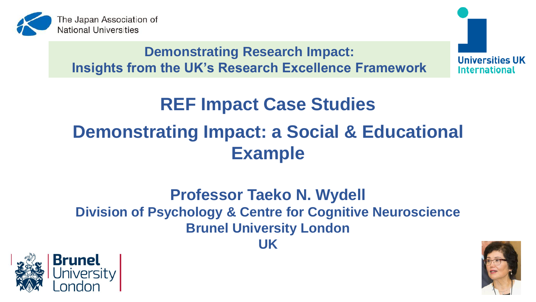

**Demonstrating Research Impact: Insights from the UK's Research Excellence Framework** **Universities UK International** 

# **REF Impact Case Studies Demonstrating Impact: a Social & Educational Example**

## **Professor Taeko N. Wydell Division of Psychology & Centre for Cognitive Neuroscience Brunel University London**





**UK**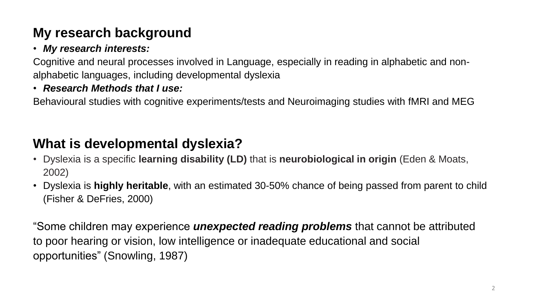## **My research background**

### • *My research interests:*

Cognitive and neural processes involved in Language, especially in reading in alphabetic and nonalphabetic languages, including developmental dyslexia

### • *Research Methods that I use:*

Behavioural studies with cognitive experiments/tests and Neuroimaging studies with fMRI and MEG

## **What is developmental dyslexia?**

- Dyslexia is a specific **learning disability (LD)** that is **neurobiological in origin** (Eden & Moats, 2002)
- Dyslexia is **highly heritable**, with an estimated 30-50% chance of being passed from parent to child (Fisher & DeFries, 2000)

"Some children may experience *unexpected reading problems* that cannot be attributed to poor hearing or vision, low intelligence or inadequate educational and social opportunities" (Snowling, 1987)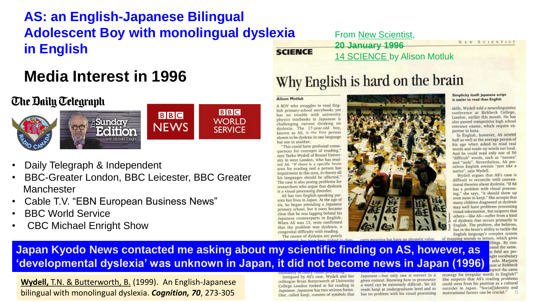## **AS: an English-Japanese Bilingual Adolescent Boy with monolingual dyslexia in English**

## **[Media Inter](https://takemeback.to/blog/2016/03/25/the-daily-telegraph-archive-back-issue-newspapers/)est in 1996**

### **The Daily Telegraph**



- Daily Telegraph & Independent
- BBC-Greater London, BBC Leicester, BBC Greater **Manchester**
- Cable T.V. "EBN European Business News"
- BBC World Service
- CBC Michael Enright Show

**SCIENCE** 

From New Scientist, **20 January 1996** 14 SCIENCE by Alison Motluk

NEW SCIENTIST

## Why English is hard on the brain

### **Alison Motluk**

A BOY who struggles to read English primary-school storybooks yet has no trouble with university physics textbooks in Japanese is challenging current thinking on dyslexia. The 17-year-old boy, known as AS, is the first person shown to be dyslexic in one language but not in another.

"This could have profound conse quences for concepts of reading, says Taeko Wydell of Brunel University in west London, who has studied AS. "If there is a specific hrain area for reading and a person has impairment in this area, in theory all his languages should be affected." The case is also posing problems for researchers who argue that dyslexia is a visual processing disorder.

AS has two English-speaking parents but lives in Japan. At the age of six, he began attending a Japanese primary school, but it soon became clear that he was lagging behind his Japanese counterparts in English. When AS was 13, tests confirmed that the problem was dyslexia, a congenital difficulty with reading. The causes of dyslexia are poorly



Simplicity itself: Japanese script is easier to read than English

skills, Wydell told a neurolinguistics conference at Birkbeck College, London, earlier this month. He has also passed competitive high school entrance exams, which require expertise in kana.

In English, however, AS scored half as well as the average person of his age when asked to read real words and made-up words out loud. And he could read only one of 50 "difficult" words, such as "nausea" and "aisle". Nevertheless, AS perceives English sounds "just like a native", says Wydell.

Wydell argues that AS's case is difficult to reconcile with conventional theories about dyslexia. "If AS has a problem with visual processing," she says, "it should show up even more in kanji." She accepts that many children diagnosed as dyslexic may well have problems processing visual information, but suspects that others-like AS-suffer from a kind of dyslexia that occurs primarily in English. The problem, she believes, lies in the brain's ability to tackle the English language's complex system of mapping sounds to letters, which gives

ellings. By conound the same. e field are peright vocabulary asks Marjorie ruist at Birkbeck pted the same

strategy for irregular words in English?" She suspects that AS's reading problems could stem from his position as a cultural<br>outsider in Japan. "Socia<br>Bidentity and motivational factors can be crucial."

### **Japan Kyodo News contacted me asking about my scientific finding on AS, however, as 'developmental dyslexia' was unknown in Japan, it did not become news in Japan (1996)**

**Wydell,** T.N. & Butterworth, B. (1999). An English-Japanese bilingual with monolingual dyslexia. *Cognition, 70*, 273-305

Intrigued by AS's case, Wydell and her colleague Brian Butterworth of University College London looked at his reading in Japanese, Japanese has two written forms. One, called kanji, consists of symbols that

Japanese-but only one is correct in a given context. Knowing how to pronounce a word can be extremely difficult. Yet AS reads kanji at undergraduate level and so has no problem with his visual processing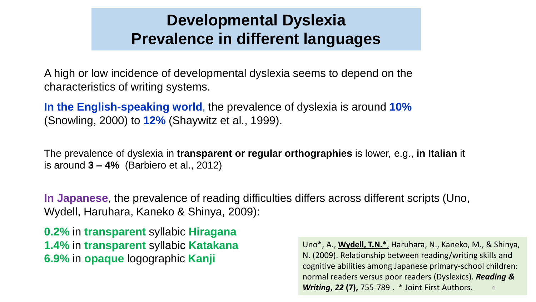## **Developmental Dyslexia Prevalence in different languages**

A high or low incidence of developmental dyslexia seems to depend on the characteristics of writing systems.

**In the English-speaking world**, the prevalence of dyslexia is around **10%** (Snowling, 2000) to **12%** (Shaywitz et al., 1999).

The prevalence of dyslexia in **transparent or regular orthographies** is lower, e.g., **in Italian** it is around **3 – 4%** (Barbiero et al., 2012)

**In Japanese**, the prevalence of reading difficulties differs across different scripts (Uno, Wydell, Haruhara, Kaneko & Shinya, 2009):

**0.2%** in **transparent** syllabic **Hiragana 1.4%** in **transparent** syllabic **Katakana 6.9%** in **opaque** logographic **Kanji**

Uno\*, A., **Wydell, T.N.\***, Haruhara, N., Kaneko, M., & Shinya, N. (2009). Relationship between reading/writing skills and cognitive abilities among Japanese primary-school children: normal readers versus poor readers (Dyslexics). *Reading & Writing***,** *22* **(7),** 755-789 . \* Joint First Authors. 4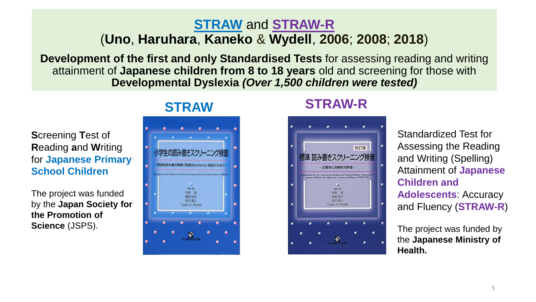### **STRAW** and **STRAW-R** (**Uno**, **Haruhara**, **Kaneko** & **Wydell**, **2006**; **2008**; **2018**)

**Development of the first and only Standardised Tests** for assessing reading and writing attainment of **Japanese children from 8 to 18 years** old and screening for those with **Developmental Dyslexia** *(Over 1,500 children were tested)*

**S**creening **T**est of **R**eading **a**nd **W**riting for **Japanese Primary School Children**

The project was funded by the **Japan Society for the Promotion of Science** (JSPS).



### **STRAW STRAW-R**



Standardized Test for Assessing the Reading and Writing (Spelling) Attainment of **Japanese Children and Adolescents**: Accuracy and Fluency (**STRAW-R**)

The project was funded by the **Japanese Ministry of Health.**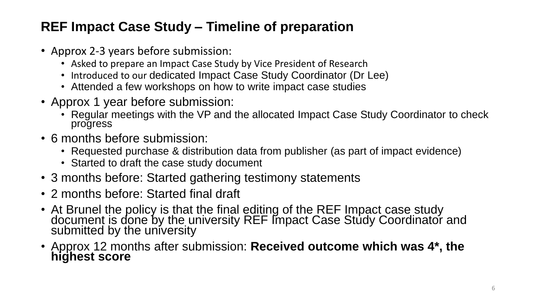## **REF Impact Case Study – Timeline of preparation**

- Approx 2-3 years before submission:
	- Asked to prepare an Impact Case Study by Vice President of Research
	- Introduced to our dedicated Impact Case Study Coordinator (Dr Lee)
	- Attended a few workshops on how to write impact case studies
- Approx 1 year before submission:
	- Regular meetings with the VP and the allocated Impact Case Study Coordinator to check progress
- 6 months before submission:
	- Requested purchase & distribution data from publisher (as part of impact evidence)
	- Started to draft the case study document
- 3 months before: Started gathering testimony statements
- 2 months before: Started final draft
- At Brunel the policy is that the final editing of the REF Impact case study document is done by the university REF Impact Case Study Coordinator and submitted by the university
- Approx 12 months after submission: **Received outcome which was 4\*, the highest score**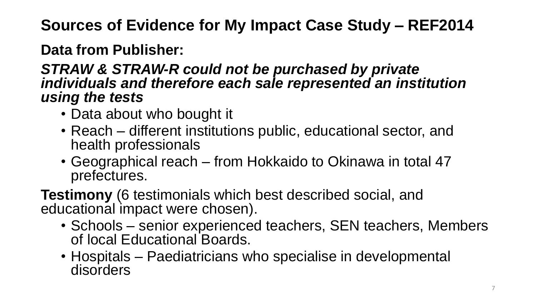**Sources of Evidence for My Impact Case Study – REF2014** 

**Data from Publisher:**

### *STRAW & STRAW-R could not be purchased by private individuals and therefore each sale represented an institution using the tests*

- Data about who bought it
- Reach different institutions public, educational sector, and health professionals
- Geographical reach from Hokkaido to Okinawa in total 47 prefectures.

**Testimony** (6 testimonials which best described social, and educational impact were chosen).

- Schools senior experienced teachers, SEN teachers, Members of local Educational Boards.
- Hospitals Paediatricians who specialise in developmental disorders